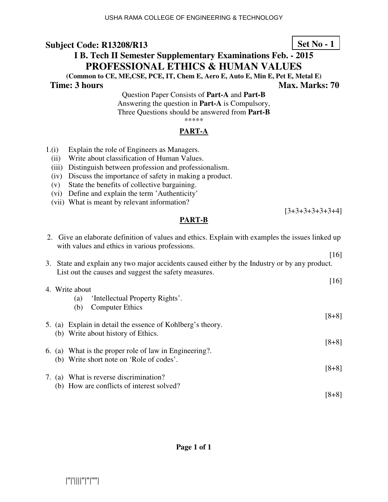## **I B. Tech II Semester Supplementary Examinations Feb. - 2015 PROFESSIONAL ETHICS & HUMAN VALUES**

**(Common to CE, ME,CSE, PCE, IT, Chem E, Aero E, Auto E, Min E, Pet E, Metal E) Time: 3 hours** Max. Marks: 70

Question Paper Consists of **Part-A** and **Part-B** Answering the question in **Part-A** is Compulsory, Three Questions should be answered from **Part-B** \*\*\*\*\*

### **PART-A**

- 1.(i) Explain the role of Engineers as Managers.
	- (ii) Write about classification of Human Values.
	- (iii) Distinguish between profession and professionalism.
	- (iv) Discuss the importance of safety in making a product.
	- (v) State the benefits of collective bargaining.
	- (vi) Define and explain the term 'Authenticity'
	- (vii) What is meant by relevant information?

### **PART-B**

2. Give an elaborate definition of values and ethics. Explain with examples the issues linked up with values and ethics in various professions. [16] 3. State and explain any two major accidents caused either by the Industry or by any product. List out the causes and suggest the safety measures. [16] 4. Write about (a) 'Intellectual Property Rights'. (b) Computer Ethics [8+8] 5. (a) Explain in detail the essence of Kohlberg's theory. (b) Write about history of Ethics. [8+8] 6. (a) What is the proper role of law in Engineering?. (b) Write short note on 'Role of codes'. [8+8] 7. (a) What is reverse discrimination? (b) How are conflicts of interest solved?

**Page 1 of 1** 

|''|'||||''|''|''''|

**Set No - 1**

[3+3+3+3+3+3+4]

[8+8]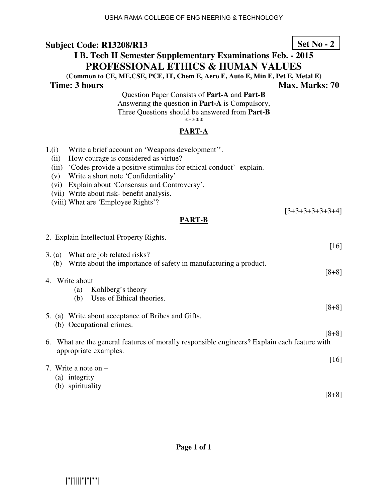# **I B. Tech II Semester Supplementary Examinations Feb. - 2015 PROFESSIONAL ETHICS & HUMAN VALUES**

**(Common to CE, ME,CSE, PCE, IT, Chem E, Aero E, Auto E, Min E, Pet E, Metal E)** 

**Time: 3 hours Max. Marks: 70 Max. Marks: 70** 

Question Paper Consists of **Part-A** and **Part-B** Answering the question in **Part-A** is Compulsory, Three Questions should be answered from **Part-B** \*\*\*\*\*

### **PART-A**

- 1.(i) Write a brief account on 'Weapons development''.
	- (ii) How courage is considered as virtue?
	- (iii) 'Codes provide a positive stimulus for ethical conduct'- explain.
	- (v) Write a short note 'Confidentiality'
	- (vi) Explain about 'Consensus and Controversy'.
	- (vii) Write about risk- benefit analysis.
	- (viii) What are 'Employee Rights'?

### **PART-B**

| 2. Explain Intellectual Property Rights.                                                                              |         |
|-----------------------------------------------------------------------------------------------------------------------|---------|
|                                                                                                                       | $[16]$  |
| What are job related risks?<br>3. (a)                                                                                 |         |
| Write about the importance of safety in manufacturing a product.<br>(b)                                               |         |
|                                                                                                                       | $[8+8]$ |
| 4. Write about                                                                                                        |         |
| (a) Kohlberg's theory                                                                                                 |         |
| Uses of Ethical theories.<br>(b)                                                                                      |         |
|                                                                                                                       | $[8+8]$ |
| 5. (a) Write about acceptance of Bribes and Gifts.                                                                    |         |
| (b) Occupational crimes.                                                                                              |         |
|                                                                                                                       | $[8+8]$ |
| 6. What are the general features of morally responsible engineers? Explain each feature with<br>appropriate examples. |         |
|                                                                                                                       | [16]    |
| 7. Write a note on $-$                                                                                                |         |
| (a) integrity                                                                                                         |         |
| (b) spirituality                                                                                                      |         |
|                                                                                                                       | $[8+8]$ |

**Page 1 of 1** 

**Set No - 2**

[3+3+3+3+3+3+4]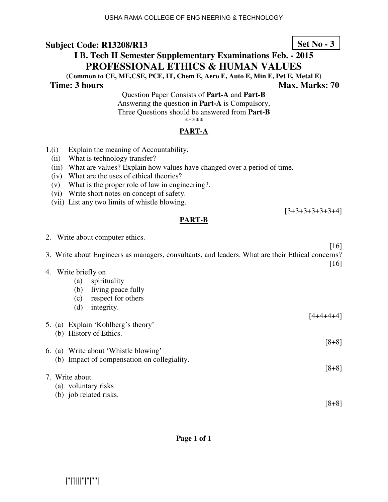## **I B. Tech II Semester Supplementary Examinations Feb. - 2015 PROFESSIONAL ETHICS & HUMAN VALUES**

**(Common to CE, ME,CSE, PCE, IT, Chem E, Aero E, Auto E, Min E, Pet E, Metal E) Time: 3 hours Max. Marks: 70 Max. Marks: 70** 

Question Paper Consists of **Part-A** and **Part-B** Answering the question in **Part-A** is Compulsory, Three Questions should be answered from **Part-B** \*\*\*\*\*

### **PART-A**

- 1.(i) Explain the meaning of Accountability.
	- (ii) What is technology transfer?
	- (iii) What are values? Explain how values have changed over a period of time.
	- (iv) What are the uses of ethical theories?
	- (v) What is the proper role of law in engineering?.
	- (vi) Write short notes on concept of safety.
	- (vii) List any two limits of whistle blowing.

### **PART-B**

2. Write about computer ethics. [16] 3. Write about Engineers as managers, consultants, and leaders. What are their Ethical concerns? [16] 4. Write briefly on (a) spirituality (b) living peace fully (c) respect for others (d) integrity.  $[4+4+4+4]$ 5. (a) Explain 'Kohlberg's theory' (b) History of Ethics. [8+8] 6. (a) Write about 'Whistle blowing' (b) Impact of compensation on collegiality. [8+8] 7. Write about (a) voluntary risks (b) job related risks.

**Page 1 of 1** 

**Set No - 3**

[3+3+3+3+3+3+4]

[8+8]